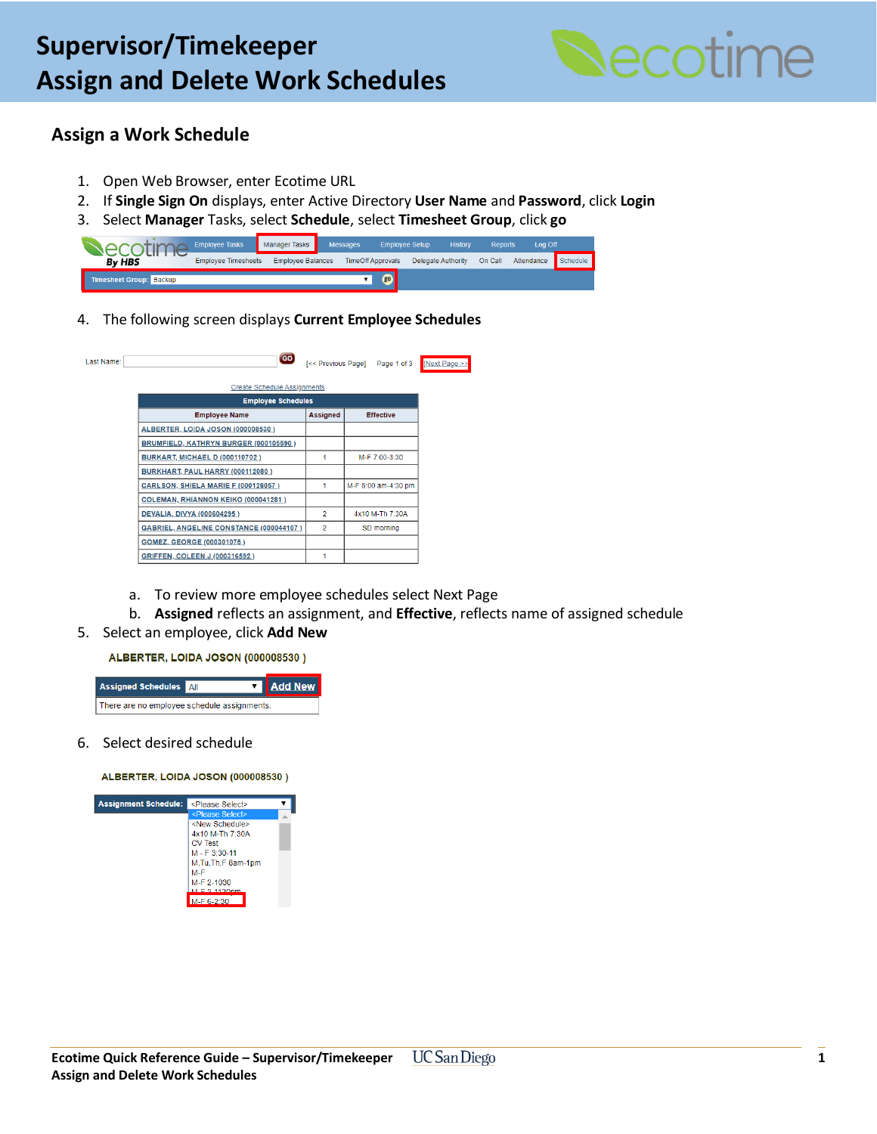

## **Assign a Work Schedule**

 $\mathbf{L}$ 

- 1. Open Web Browser, enter Ecotime URL
- 2. If **Single Sign On** displays, enter Active Directory **User Name** and **Password**, click **Login**
- 3. Select **Manager** Tasks, select **Schedule**, select **Timesheet Group**, click **go**

|                                | <b>Employee Tasks</b>      | <b>Manager Tasks</b>     | <b>Messages</b> | <b>Employee Setup</b>    |                           | <b>History</b> | <b>Reports</b> | Log Off    |          |
|--------------------------------|----------------------------|--------------------------|-----------------|--------------------------|---------------------------|----------------|----------------|------------|----------|
| <b>By HBS</b>                  | <b>Employee Timesheets</b> | <b>Employee Balances</b> |                 | <b>TimeOff Approvals</b> | <b>Delegate Authority</b> |                | On Call        | Attendance | Schedule |
| <b>Timesheet Group: Backup</b> |                            |                          |                 | $\sigma$                 |                           |                |                |            |          |

4. The following screen displays **Current Employee Schedules**

| <b>Create Schedule Assignments</b><br><b>Employee Schedules</b><br><b>Employee Name</b><br><b>Assigned</b><br><b>Effective</b><br>ALBERTER, LOIDA JOSON (000008530)<br>BRUMFIELD, KATHRYN BURGER (000105590)<br>BURKART, MICHAEL D (000110702)<br>M-F 7:00-3:30<br>1<br>BURKHART, PAUL HARRY (000112080)<br><b>CARLSON, SHIELA MARIE F (000126057)</b><br>1<br>COLEMAN, RHIANNON KEIKO (000041281)<br>$\overline{2}$<br>DEVALIA, DIVYA (000604295)<br>4x10 M-Th 7:30A<br>$\overline{2}$ | ast Name: | GO                                      | [<< Previous Page] Page 1 of 3 |
|-----------------------------------------------------------------------------------------------------------------------------------------------------------------------------------------------------------------------------------------------------------------------------------------------------------------------------------------------------------------------------------------------------------------------------------------------------------------------------------------|-----------|-----------------------------------------|--------------------------------|
|                                                                                                                                                                                                                                                                                                                                                                                                                                                                                         |           |                                         |                                |
|                                                                                                                                                                                                                                                                                                                                                                                                                                                                                         |           |                                         |                                |
|                                                                                                                                                                                                                                                                                                                                                                                                                                                                                         |           |                                         |                                |
|                                                                                                                                                                                                                                                                                                                                                                                                                                                                                         |           |                                         |                                |
|                                                                                                                                                                                                                                                                                                                                                                                                                                                                                         |           |                                         |                                |
|                                                                                                                                                                                                                                                                                                                                                                                                                                                                                         |           |                                         |                                |
|                                                                                                                                                                                                                                                                                                                                                                                                                                                                                         |           |                                         |                                |
|                                                                                                                                                                                                                                                                                                                                                                                                                                                                                         |           |                                         | M-F 8:00 am-4:30 pm            |
|                                                                                                                                                                                                                                                                                                                                                                                                                                                                                         |           |                                         |                                |
|                                                                                                                                                                                                                                                                                                                                                                                                                                                                                         |           |                                         |                                |
|                                                                                                                                                                                                                                                                                                                                                                                                                                                                                         |           | GABRIEL, ANGELINE CONSTANCE (000044107) | SD morning                     |
| GOMEZ, GEORGE (000301075)                                                                                                                                                                                                                                                                                                                                                                                                                                                               |           |                                         |                                |
| GRIFFEN, COLEEN J (000316592)                                                                                                                                                                                                                                                                                                                                                                                                                                                           |           |                                         |                                |

- a. To review more employee schedules select Next Page
- b. **Assigned** reflects an assignment, and **Effective**, reflects name of assigned schedule
- 5. Select an employee, click **Add New**

ALBERTER, LOIDA JOSON (000008530)



6. Select desired schedule

ALBERTER, LOIDA JOSON (000008530)

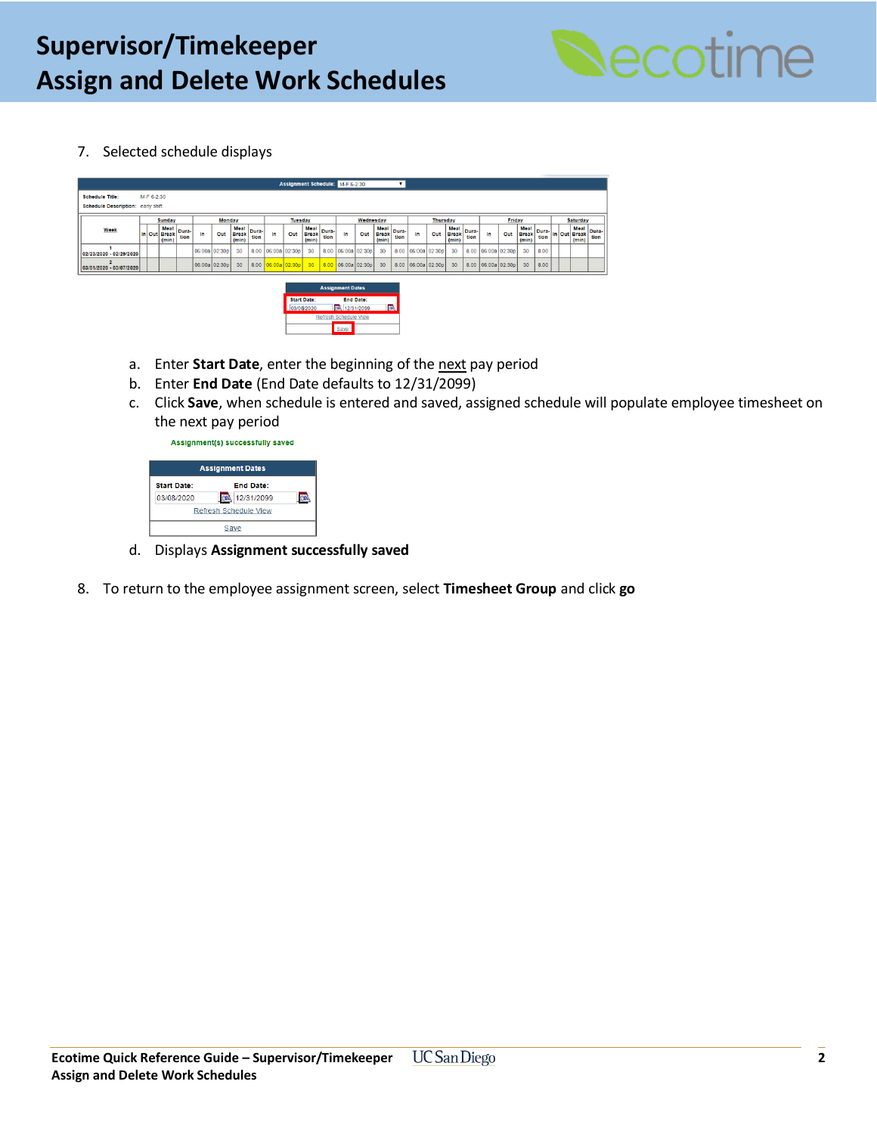

7. Selected schedule displays

|                                   | Assignment Schedule: M-F 6-2:30 |            |                                      |               |                                       |               |                               |                                  |               |               |                               |               |                    |     |                               |                 |                    |     |                               |               |                    |     |                               |                               |  |  |               |               |
|-----------------------------------|---------------------------------|------------|--------------------------------------|---------------|---------------------------------------|---------------|-------------------------------|----------------------------------|---------------|---------------|-------------------------------|---------------|--------------------|-----|-------------------------------|-----------------|--------------------|-----|-------------------------------|---------------|--------------------|-----|-------------------------------|-------------------------------|--|--|---------------|---------------|
| <b>Schedule Title:</b>            |                                 | M-F 6-2:30 |                                      |               |                                       |               |                               |                                  |               |               |                               |               |                    |     |                               |                 |                    |     |                               |               |                    |     |                               |                               |  |  |               |               |
| Schedule Description: early shift |                                 |            |                                      |               |                                       |               |                               |                                  |               |               |                               |               |                    |     |                               |                 |                    |     |                               |               |                    |     |                               |                               |  |  |               |               |
|                                   |                                 |            | <b>Sunday</b>                        |               | Monday<br>Wednesday<br><b>Tuesday</b> |               |                               | <b>Thursday</b>                  |               |               |                               | Friday        |                    |     |                               | <b>Saturday</b> |                    |     |                               |               |                    |     |                               |                               |  |  |               |               |
| Week                              |                                 |            | <b>Meal</b><br>In Out Break<br>(min) | Dura-<br>tion | In                                    | Out           | Meal<br><b>Break</b><br>(min) | Dura-<br>tion                    | In            | Out           | Meal<br><b>Break</b><br>(min) | Dura-<br>tion | In                 | Out | Meal<br><b>Break</b><br>(min) | Dura-<br>tion   | In                 | Out | Meal<br><b>Break</b><br>(min) | Dura-<br>tion | In.                | Out | Meal<br><b>Break</b><br>(min) | . Dura- In Out Break!<br>tion |  |  | Meal<br>(min) | Dura-<br>tion |
| 02/23/2020 - 02/29/2020           |                                 |            |                                      |               |                                       | 06:00a 02:30p | 30                            | 8.00                             | 06:00a 02:30p |               | 30                            |               | 8.00 06:00a 02:30p |     | 30                            |                 | 8.00 06:00a 02:30p |     | 30                            |               | 8.00 06:00a 02:30p |     | 30                            | 8.00                          |  |  |               |               |
| 03/01/2020 - 03/07/2020           |                                 |            |                                      |               |                                       | 06:00a 02:30p | 30                            | 8.00                             |               | 06:00a 02:30p | 30 <sub>2</sub>               |               | 8.00 06:00a 02:30p |     | 30                            |                 | 8.00 06:00a 02:30p |     | 30                            |               | 8.00 06:00a 02:30p |     | 30                            | 8.00                          |  |  |               |               |
| <b>Assignment Dates</b>           |                                 |            |                                      |               |                                       |               |                               |                                  |               |               |                               |               |                    |     |                               |                 |                    |     |                               |               |                    |     |                               |                               |  |  |               |               |
|                                   |                                 |            |                                      |               |                                       |               |                               | <b>Start Date:</b><br>03/08/2020 |               | 08 12/31/2099 | <b>End Date:</b>              |               | <b>ROM</b>         |     |                               |                 |                    |     |                               |               |                    |     |                               |                               |  |  |               |               |

- a. Enter **Start Date**, enter the beginning of the next pay period
- b. Enter **End Date** (End Date defaults to 12/31/2099)
- c. Click **Save**, when schedule is entered and saved, assigned schedule will populate employee timesheet on the next pay period

Assignment(s) successfully saved

|                       | <b>Assignment Dates</b> |  |  |  |  |  |  |  |
|-----------------------|-------------------------|--|--|--|--|--|--|--|
| <b>Start Date:</b>    | <b>End Date:</b>        |  |  |  |  |  |  |  |
| 03/08/2020            | 12/31/2099              |  |  |  |  |  |  |  |
| Refresh Schedule View |                         |  |  |  |  |  |  |  |
| Save                  |                         |  |  |  |  |  |  |  |

- d. Displays **Assignment successfully saved**
- 8. To return to the employee assignment screen, select **Timesheet Group** and click **go**